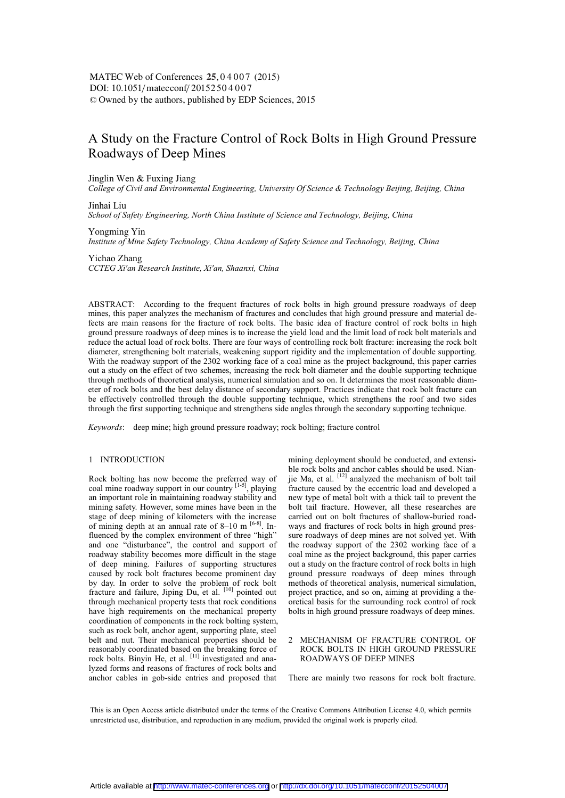# A Study on the Fracture Control of Rock Bolts in High Ground Pressure Roadways of Deep Mines

## Jinglin Wen & Fuxing Jiang

*College of Civil and Environmental Engineering, University Of Science & Technology Beijing, Beijing, China* 

## Jinhai Liu

*School of Safety Engineering, North China Institute of Science and Technology, Beijing, China* 

# Yongming Yin *Institute of Mine Safety Technology, China Academy of Safety Science and Technology, Beijing, China*

Yichao Zhang *CCTEG Xi'an Research Institute, Xi'an, Shaanxi, China* 

ABSTRACT: According to the frequent fractures of rock bolts in high ground pressure roadways of deep mines, this paper analyzes the mechanism of fractures and concludes that high ground pressure and material defects are main reasons for the fracture of rock bolts. The basic idea of fracture control of rock bolts in high ground pressure roadways of deep mines is to increase the yield load and the limit load of rock bolt materials and reduce the actual load of rock bolts. There are four ways of controlling rock bolt fracture: increasing the rock bolt diameter, strengthening bolt materials, weakening support rigidity and the implementation of double supporting. With the roadway support of the 2302 working face of a coal mine as the project background, this paper carries out a study on the effect of two schemes, increasing the rock bolt diameter and the double supporting technique through methods of theoretical analysis, numerical simulation and so on. It determines the most reasonable diameter of rock bolts and the best delay distance of secondary support. Practices indicate that rock bolt fracture can be effectively controlled through the double supporting technique, which strengthens the roof and two sides through the first supporting technique and strengthens side angles through the secondary supporting technique.

*Keywords*: deep mine; high ground pressure roadway; rock bolting; fracture control

## 1 INTRODUCTION

Rock bolting has now become the preferred way of coal mine roadway support in our country  $[1-5]$ , playing an important role in maintaining roadway stability and mining safety. However, some mines have been in the stage of deep mining of kilometers with the increase of mining depth at an annual rate of 8**–**10 m [6-8]. Influenced by the complex environment of three "high" and one "disturbance", the control and support of roadway stability becomes more difficult in the stage of deep mining. Failures of supporting structures caused by rock bolt fractures become prominent day by day. In order to solve the problem of rock bolt fracture and failure, Jiping Du, et al. [10] pointed out through mechanical property tests that rock conditions have high requirements on the mechanical property coordination of components in the rock bolting system, such as rock bolt, anchor agent, supporting plate, steel belt and nut. Their mechanical properties should be reasonably coordinated based on the breaking force of rock bolts. Binyin He, et al. <sup>[11]</sup> investigated and analyzed forms and reasons of fractures of rock bolts and anchor cables in gob-side entries and proposed that

mining deployment should be conducted, and extensible rock bolts and anchor cables should be used. Nianjie Ma, et al. [12] analyzed the mechanism of bolt tail fracture caused by the eccentric load and developed a new type of metal bolt with a thick tail to prevent the bolt tail fracture. However, all these researches are carried out on bolt fractures of shallow-buried roadways and fractures of rock bolts in high ground pressure roadways of deep mines are not solved yet. With the roadway support of the 2302 working face of a coal mine as the project background, this paper carries out a study on the fracture control of rock bolts in high ground pressure roadways of deep mines through methods of theoretical analysis, numerical simulation, project practice, and so on, aiming at providing a theoretical basis for the surrounding rock control of rock bolts in high ground pressure roadways of deep mines.

## 2 MECHANISM OF FRACTURE CONTROL OF ROCK BOLTS IN HIGH GROUND PRESSURE ROADWAYS OF DEEP MINES

There are mainly two reasons for rock bolt fracture.

This is an Open Access article distributed under the terms of the Creative Commons Attribution License 4.0, which permits unrestricted use, distribution, and reproduction in any medium, provided the original work is properly cited.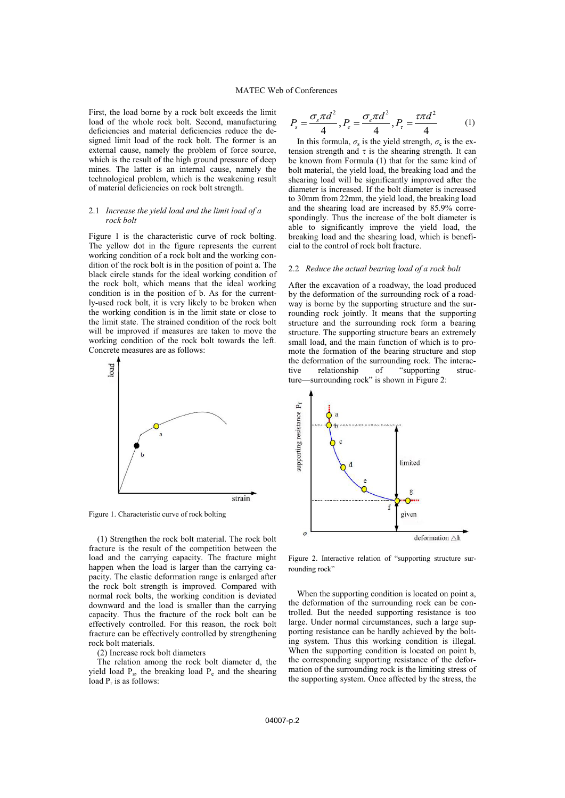## MATEC Web of Conferences

First, the load borne by a rock bolt exceeds the limit load of the whole rock bolt. Second, manufacturing deficiencies and material deficiencies reduce the designed limit load of the rock bolt. The former is an external cause, namely the problem of force source, which is the result of the high ground pressure of deep mines. The latter is an internal cause, namely the technological problem, which is the weakening result of material deficiencies on rock bolt strength.

#### 2.1 *Increase the yield load and the limit load of a rock bolt*

Figure 1 is the characteristic curve of rock bolting. The yellow dot in the figure represents the current working condition of a rock bolt and the working condition of the rock bolt is in the position of point a. The black circle stands for the ideal working condition of the rock bolt, which means that the ideal working condition is in the position of b. As for the currently-used rock bolt, it is very likely to be broken when the working condition is in the limit state or close to the limit state. The strained condition of the rock bolt will be improved if measures are taken to move the working condition of the rock bolt towards the left. Concrete measures are as follows:



Figure 1. Characteristic curve of rock bolting

(1) Strengthen the rock bolt material. The rock bolt fracture is the result of the competition between the load and the carrying capacity. The fracture might happen when the load is larger than the carrying capacity. The elastic deformation range is enlarged after the rock bolt strength is improved. Compared with normal rock bolts, the working condition is deviated downward and the load is smaller than the carrying capacity. Thus the fracture of the rock bolt can be effectively controlled. For this reason, the rock bolt fracture can be effectively controlled by strengthening rock bolt materials.

(2) Increase rock bolt diameters

The relation among the rock bolt diameter d, the yield load  $P_s$ , the breaking load  $P_e$  and the shearing load P<sub>r</sub> is as follows:

$$
P_s = \frac{\sigma_s \pi d^2}{4}, P_e = \frac{\sigma_e \pi d^2}{4}, P_\tau = \frac{\pi \pi d^2}{4} \tag{1}
$$

In this formula,  $\sigma_s$  is the yield strength,  $\sigma_e$  is the extension strength and  $\tau$  is the shearing strength. It can be known from Formula (1) that for the same kind of bolt material, the yield load, the breaking load and the shearing load will be significantly improved after the diameter is increased. If the bolt diameter is increased to 30mm from 22mm, the yield load, the breaking load and the shearing load are increased by 85.9% correspondingly. Thus the increase of the bolt diameter is able to significantly improve the yield load, the breaking load and the shearing load, which is beneficial to the control of rock bolt fracture.

#### 2.2 *Reduce the actual bearing load of a rock bolt*

After the excavation of a roadway, the load produced by the deformation of the surrounding rock of a roadway is borne by the supporting structure and the surrounding rock jointly. It means that the supporting structure and the surrounding rock form a bearing structure. The supporting structure bears an extremely small load, and the main function of which is to promote the formation of the bearing structure and stop the deformation of the surrounding rock. The interactive relationship of "supporting struc-<br>ture—surrounding rock" is shown in Figure 2: surrounding rock" is shown in Figure 2:



Figure 2. Interactive relation of "supporting structure surrounding rock"

When the supporting condition is located on point a. the deformation of the surrounding rock can be controlled. But the needed supporting resistance is too large. Under normal circumstances, such a large supporting resistance can be hardly achieved by the bolting system. Thus this working condition is illegal. When the supporting condition is located on point b, the corresponding supporting resistance of the deformation of the surrounding rock is the limiting stress of the supporting system. Once affected by the stress, the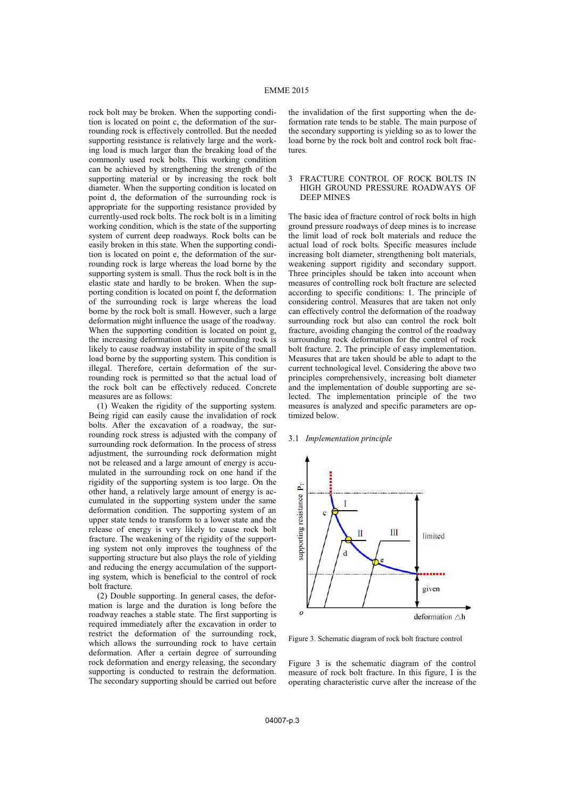rock bolt may be broken. When the supporting condition is located on point c, the deformation of the surrounding rock is effectively controlled. But the needed supporting resistance is relatively large and the working load is much larger than the breaking load of the commonly used rock bolts. This working condition can be achieved by strengthening the strength of the supporting material or by increasing the rock bolt diameter. When the supporting condition is located on point d, the deformation of the surrounding rock is appropriate for the supporting resistance provided by currently-used rock bolts. The rock bolt is in a limiting working condition, which is the state of the supporting system of current deep roadways. Rock bolts can be easily broken in this state. When the supporting condition is located on point e, the deformation of the surrounding rock is large whereas the load borne by the supporting system is small. Thus the rock bolt is in the elastic state and hardly to be broken. When the supporting condition is located on point f, the deformation of the surrounding rock is large whereas the load borne by the rock bolt is small. However, such a large deformation might influence the usage of the roadway. When the supporting condition is located on point g, the increasing deformation of the surrounding rock is likely to cause roadway instability in spite of the small load borne by the supporting system. This condition is illegal. Therefore, certain deformation of the surrounding rock is permitted so that the actual load of the rock bolt can be effectively reduced. Concrete measures are as follows:

(1) Weaken the rigidity of the supporting system. Being rigid can easily cause the invalidation of rock bolts. After the excavation of a roadway, the surrounding rock stress is adjusted with the company of surrounding rock deformation. In the process of stress adjustment, the surrounding rock deformation might not be released and a large amount of energy is accumulated in the surrounding rock on one hand if the rigidity of the supporting system is too large. On the other hand, a relatively large amount of energy is accumulated in the supporting system under the same deformation condition. The supporting system of an upper state tends to transform to a lower state and the release of energy is very likely to cause rock bolt fracture. The weakening of the rigidity of the supporting system not only improves the toughness of the supporting structure but also plays the role of yielding and reducing the energy accumulation of the supporting system, which is beneficial to the control of rock bolt fracture.

(2) Double supporting. In general cases, the deformation is large and the duration is long before the roadway reaches a stable state. The first supporting is required immediately after the excavation in order to restrict the deformation of the surrounding rock, which allows the surrounding rock to have certain deformation. After a certain degree of surrounding rock deformation and energy releasing, the secondary supporting is conducted to restrain the deformation. The secondary supporting should be carried out before

the invalidation of the first supporting when the deformation rate tends to be stable. The main purpose of the secondary supporting is yielding so as to lower the load borne by the rock bolt and control rock bolt fractures.

## 3 FRACTURE CONTROL OF ROCK BOLTS IN HIGH GROUND PRESSURE ROADWAYS OF DEEP MINES

The basic idea of fracture control of rock bolts in high ground pressure roadways of deep mines is to increase the limit load of rock bolt materials and reduce the actual load of rock bolts. Specific measures include increasing bolt diameter, strengthening bolt materials, weakening support rigidity and secondary support. Three principles should be taken into account when measures of controlling rock bolt fracture are selected according to specific conditions: 1. The principle of considering control. Measures that are taken not only can effectively control the deformation of the roadway surrounding rock but also can control the rock bolt fracture, avoiding changing the control of the roadway surrounding rock deformation for the control of rock bolt fracture. 2. The principle of easy implementation. Measures that are taken should be able to adapt to the current technological level. Considering the above two principles comprehensively, increasing bolt diameter and the implementation of double supporting are selected. The implementation principle of the two measures is analyzed and specific parameters are optimized below.

#### 3.1 *Implementation principle*



Figure 3. Schematic diagram of rock bolt fracture control

Figure 3 is the schematic diagram of the control measure of rock bolt fracture. In this figure, I is the operating characteristic curve after the increase of the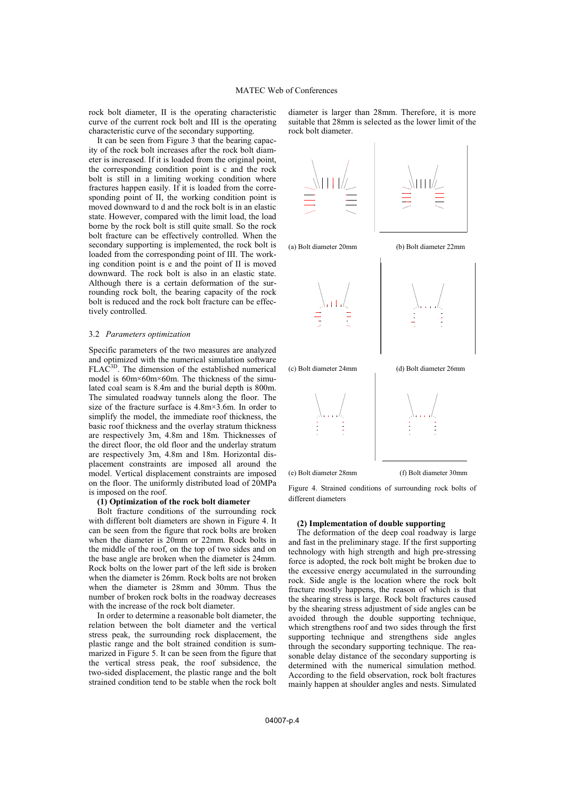rock bolt diameter, II is the operating characteristic curve of the current rock bolt and III is the operating characteristic curve of the secondary supporting.

It can be seen from Figure 3 that the bearing capacity of the rock bolt increases after the rock bolt diameter is increased. If it is loaded from the original point, the corresponding condition point is c and the rock bolt is still in a limiting working condition where fractures happen easily. If it is loaded from the corresponding point of II, the working condition point is moved downward to d and the rock bolt is in an elastic state. However, compared with the limit load, the load borne by the rock bolt is still quite small. So the rock bolt fracture can be effectively controlled. When the secondary supporting is implemented, the rock bolt is loaded from the corresponding point of III. The working condition point is e and the point of II is moved downward. The rock bolt is also in an elastic state. Although there is a certain deformation of the surrounding rock bolt, the bearing capacity of the rock bolt is reduced and the rock bolt fracture can be effectively controlled.

#### 3.2 *Parameters optimization*

Specific parameters of the two measures are analyzed and optimized with the numerical simulation software  $F LAC<sup>3D</sup>$ . The dimension of the established numerical model is 60m×60m×60m. The thickness of the simulated coal seam is 8.4m and the burial depth is 800m. The simulated roadway tunnels along the floor. The size of the fracture surface is 4.8m×3.6m. In order to simplify the model, the immediate roof thickness, the basic roof thickness and the overlay stratum thickness are respectively 3m, 4.8m and 18m. Thicknesses of the direct floor, the old floor and the underlay stratum are respectively 3m, 4.8m and 18m. Horizontal displacement constraints are imposed all around the model. Vertical displacement constraints are imposed on the floor. The uniformly distributed load of 20MPa is imposed on the roof.

#### **(1) Optimization of the rock bolt diameter**

Bolt fracture conditions of the surrounding rock with different bolt diameters are shown in Figure 4. It can be seen from the figure that rock bolts are broken when the diameter is 20mm or 22mm. Rock bolts in the middle of the roof, on the top of two sides and on the base angle are broken when the diameter is 24mm. Rock bolts on the lower part of the left side is broken when the diameter is 26mm. Rock bolts are not broken when the diameter is 28mm and 30mm. Thus the number of broken rock bolts in the roadway decreases with the increase of the rock bolt diameter.

In order to determine a reasonable bolt diameter, the relation between the bolt diameter and the vertical stress peak, the surrounding rock displacement, the plastic range and the bolt strained condition is summarized in Figure 5. It can be seen from the figure that the vertical stress peak, the roof subsidence, the two-sided displacement, the plastic range and the bolt strained condition tend to be stable when the rock bolt diameter is larger than 28mm. Therefore, it is more suitable that 28mm is selected as the lower limit of the rock bolt diameter.



(a) Bolt diameter 20mm (b) Bolt diameter 22mm







(e) Bolt diameter 28mm (f) Bolt diameter 30mm

Figure 4. Strained conditions of surrounding rock bolts of different diameters

## **(2) Implementation of double supporting**

The deformation of the deep coal roadway is large and fast in the preliminary stage. If the first supporting technology with high strength and high pre-stressing force is adopted, the rock bolt might be broken due to the excessive energy accumulated in the surrounding rock. Side angle is the location where the rock bolt fracture mostly happens, the reason of which is that the shearing stress is large. Rock bolt fractures caused by the shearing stress adjustment of side angles can be avoided through the double supporting technique, which strengthens roof and two sides through the first supporting technique and strengthens side angles through the secondary supporting technique. The reasonable delay distance of the secondary supporting is determined with the numerical simulation method. According to the field observation, rock bolt fractures mainly happen at shoulder angles and nests. Simulated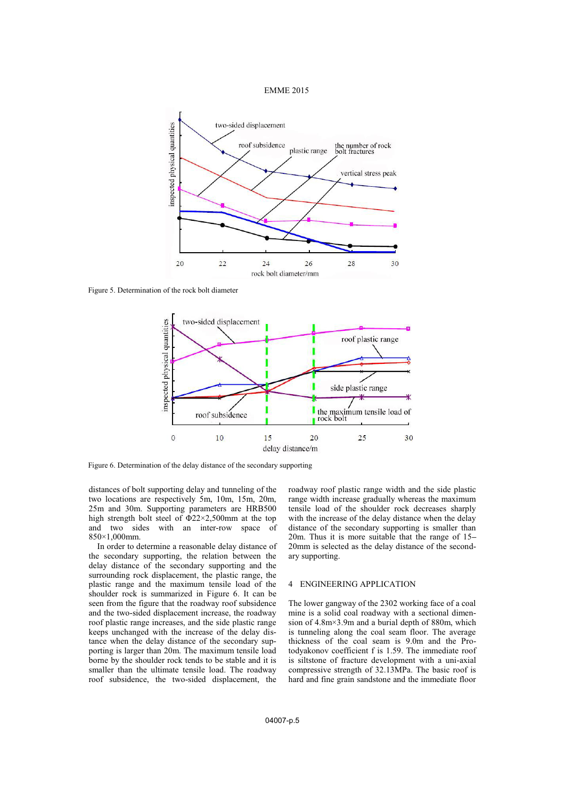



Figure 5. Determination of the rock bolt diameter



Figure 6. Determination of the delay distance of the secondary supporting

distances of bolt supporting delay and tunneling of the two locations are respectively 5m, 10m, 15m, 20m, 25m and 30m. Supporting parameters are HRB500 high strength bolt steel of Φ22×2,500mm at the top and two sides with an inter-row space of 850×1,000mm.

In order to determine a reasonable delay distance of the secondary supporting, the relation between the delay distance of the secondary supporting and the surrounding rock displacement, the plastic range, the plastic range and the maximum tensile load of the shoulder rock is summarized in Figure 6. It can be seen from the figure that the roadway roof subsidence and the two-sided displacement increase, the roadway roof plastic range increases, and the side plastic range keeps unchanged with the increase of the delay distance when the delay distance of the secondary supporting is larger than 20m. The maximum tensile load borne by the shoulder rock tends to be stable and it is smaller than the ultimate tensile load. The roadway roof subsidence, the two-sided displacement, the

roadway roof plastic range width and the side plastic range width increase gradually whereas the maximum tensile load of the shoulder rock decreases sharply with the increase of the delay distance when the delay distance of the secondary supporting is smaller than 20m. Thus it is more suitable that the range of 15**–** 20mm is selected as the delay distance of the secondary supporting.

## 4 ENGINEERING APPLICATION

The lower gangway of the 2302 working face of a coal mine is a solid coal roadway with a sectional dimension of 4.8m×3.9m and a burial depth of 880m, which is tunneling along the coal seam floor. The average thickness of the coal seam is 9.0m and the Protodyakonov coefficient f is 1.59. The immediate roof is siltstone of fracture development with a uni-axial compressive strength of 32.13MPa. The basic roof is hard and fine grain sandstone and the immediate floor